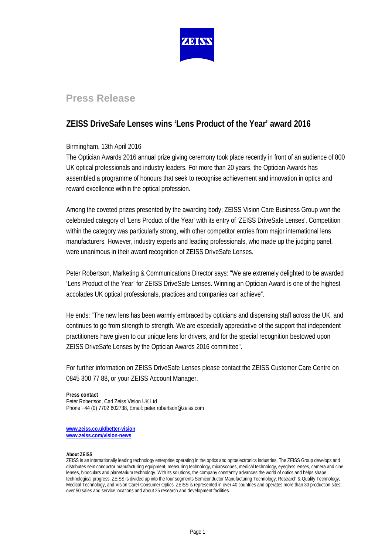

# **Press Release**

## **ZEISS DriveSafe Lenses wins 'Lens Product of the Year' award 2016**

## Birmingham, 13th April 2016

The Optician Awards 2016 annual prize giving ceremony took place recently in front of an audience of 800 UK optical professionals and industry leaders. For more than 20 years, the Optician Awards has assembled a programme of honours that seek to recognise achievement and innovation in optics and reward excellence within the optical profession.

Among the coveted prizes presented by the awarding body; ZEISS Vision Care Business Group won the celebrated category of 'Lens Product of the Year' with its entry of 'ZEISS DriveSafe Lenses'. Competition within the category was particularly strong, with other competitor entries from major international lens manufacturers. However, industry experts and leading professionals, who made up the judging panel, were unanimous in their award recognition of ZEISS DriveSafe Lenses.

Peter Robertson, Marketing & Communications Director says: "We are extremely delighted to be awarded 'Lens Product of the Year' for ZEISS DriveSafe Lenses. Winning an Optician Award is one of the highest accolades UK optical professionals, practices and companies can achieve".

He ends: "The new lens has been warmly embraced by opticians and dispensing staff across the UK, and continues to go from strength to strength. We are especially appreciative of the support that independent practitioners have given to our unique lens for drivers, and for the special recognition bestowed upon ZEISS DriveSafe Lenses by the Optician Awards 2016 committee".

For further information on ZEISS DriveSafe Lenses please contact the ZEISS Customer Care Centre on 0845 300 77 88, or your ZEISS Account Manager.

### **Press contact**

Peter Robertson, Carl Zeiss Vision UK Ltd Phone +44 (0) 7702 602738, Email: peter.robertson@zeiss.com

**[www.zeiss.co.uk/better-vision](http://www.zeiss.co.uk/better-vision) [www.zeiss.com/vision-news](http://www.zeiss.com/vision-news)**

#### **About ZEISS**

ZEISS is an internationally leading technology enterprise operating in the optics and optoelectronics industries. The ZEISS Group develops and distributes semiconductor manufacturing equipment, measuring technology, microscopes, medical technology, eyeglass lenses, camera and cine lenses, binoculars and planetarium technology. With its solutions, the company constantly advances the world of optics and helps shape technological progress. ZEISS is divided up into the four segments Semiconductor Manufacturing Technology, Research & Quality Technology, Medical Technology, and Vision Care/ Consumer Optics. ZEISS is represented in over 40 countries and operates more than 30 production sites, over 50 sales and service locations and about 25 research and development facilities.